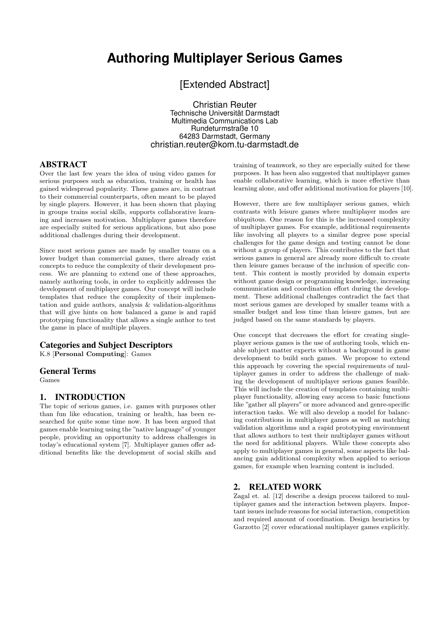# **Authoring Multiplayer Serious Games**

[Extended Abstract]

Christian Reuter Technische Universität Darmstadt Multimedia Communications Lab Rundeturmstraße 10 64283 Darmstadt, Germany christian.reuter@kom.tu-darmstadt.de

### ABSTRACT

Over the last few years the idea of using video games for serious purposes such as education, training or health has gained widespread popularity. These games are, in contrast to their commercial counterparts, often meant to be played by single players. However, it has been shown that playing in groups trains social skills, supports collaborative learning and increases motivation. Multiplayer games therefore are especially suited for serious applications, but also pose additional challenges during their development.

Since most serious games are made by smaller teams on a lower budget than commercial games, there already exist concepts to reduce the complexity of their development process. We are planning to extend one of these approaches, namely authoring tools, in order to explicitly addresses the development of multiplayer games. Our concept will include templates that reduce the complexity of their implementation and guide authors, analysis & validation-algorithms that will give hints on how balanced a game is and rapid prototyping functionality that allows a single author to test the game in place of multiple players.

### Categories and Subject Descriptors

K.8 [Personal Computing]: Games

#### General Terms

Games

### 1. INTRODUCTION

The topic of serious games, i.e. games with purposes other than fun like education, training or health, has been researched for quite some time now. It has been argued that games enable learning using the "native language" of younger people, providing an opportunity to address challenges in today's educational system [7]. Multiplayer games offer additional benefits like the development of social skills and

training of teamwork, so they are especially suited for these purposes. It has been also suggested that multiplayer games enable collaborative learning, which is more effective than learning alone, and offer additional motivation for players [10].

However, there are few multiplayer serious games, which contrasts with leisure games where multiplayer modes are ubiquitous. One reason for this is the increased complexity of multiplayer games. For example, additional requirements like involving all players to a similar degree pose special challenges for the game design and testing cannot be done without a group of players. This contributes to the fact that serious games in general are already more difficult to create then leisure games because of the inclusion of specific content. This content is mostly provided by domain experts without game design or programming knowledge, increasing communication and coordination effort during the development. These additional challenges contradict the fact that most serious games are developed by smaller teams with a smaller budget and less time than leisure games, but are judged based on the same standards by players.

One concept that decreases the effort for creating singleplayer serious games is the use of authoring tools, which enable subject matter experts without a background in game development to build such games. We propose to extend this approach by covering the special requirements of multiplayer games in order to address the challenge of making the development of multiplayer serious games feasible. This will include the creation of templates containing multiplayer functionality, allowing easy access to basic functions like "gather all players" or more advanced and genre-specific interaction tasks. We will also develop a model for balancing contributions in multiplayer games as well as matching validation algorithms and a rapid prototyping environment that allows authors to test their multiplayer games without the need for additional players. While these concepts also apply to multiplayer games in general, some aspects like balancing gain additional complexity when applied to serious games, for example when learning content is included.

### 2. RELATED WORK

Zagal et. al. [12] describe a design process tailored to multiplayer games and the interaction between players. Important issues include reasons for social interaction, competition and required amount of coordination. Design heuristics by Garzotto [2] cover educational multiplayer games explicitly.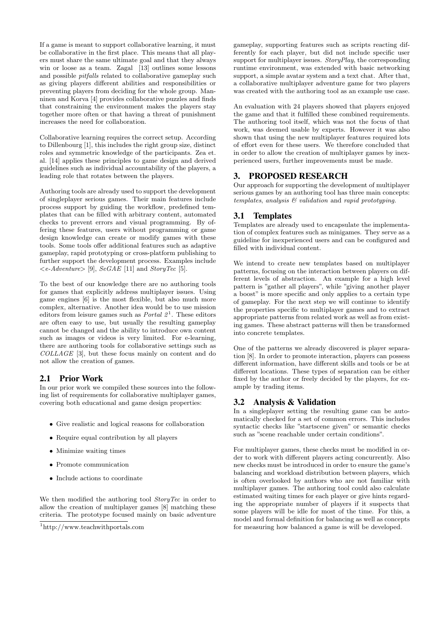If a game is meant to support collaborative learning, it must be collaborative in the first place. This means that all players must share the same ultimate goal and that they always win or loose as a team. Zagal [13] outlines some lessons and possible pitfalls related to collaborative gameplay such as giving players different abilities and responsibilities or preventing players from deciding for the whole group. Manninen and Korva [4] provides collaborative puzzles and finds that constraining the environment makes the players stay together more often or that having a threat of punishment increases the need for collaboration.

Collaborative learning requires the correct setup. According to Dillenbourg [1], this includes the right group size, distinct roles and symmetric knowledge of the participants. Zea et. al. [14] applies these principles to game design and derived guidelines such as individual accountability of the players, a leading role that rotates between the players.

Authoring tools are already used to support the development of singleplayer serious games. Their main features include process support by guiding the workflow, predefined templates that can be filled with arbitrary content, automated checks to prevent errors and visual programming. By offering these features, users without programming or game design knowledge can create or modify games with these tools. Some tools offer additional features such as adaptive gameplay, rapid prototyping or cross-platform publishing to further support the development process. Examples include  $\langle e\text{-}Adventure \rangle$  [9],  $\langle \text{Set} A E$  [11] and  $\langle \text{StoryTec} \rangle$  [5].

To the best of our knowledge there are no authoring tools for games that explicitly address multiplayer issues. Using game engines [6] is the most flexible, but also much more complex, alternative. Another idea would be to use mission editors from leisure games such as *Portal*  $2<sup>1</sup>$ . These editors are often easy to use, but usually the resulting gameplay cannot be changed and the ability to introduce own content such as images or videos is very limited. For e-learning, there are authoring tools for collaborative settings such as COLLAGE [3], but these focus mainly on content and do not allow the creation of games.

## 2.1 Prior Work

In our prior work we compiled these sources into the following list of requirements for collaborative multiplayer games, covering both educational and game design properties:

- Give realistic and logical reasons for collaboration
- Require equal contribution by all players
- Minimize waiting times
- Promote communication
- Include actions to coordinate

We then modified the authoring tool *StoryTec* in order to allow the creation of multiplayer games [8] matching these criteria. The prototype focused mainly on basic adventure

gameplay, supporting features such as scripts reacting differently for each player, but did not include specific user support for multiplayer issues. *StoryPlay*, the corresponding runtime environment, was extended with basic networking support, a simple avatar system and a text chat. After that, a collaborative multiplayer adventure game for two players was created with the authoring tool as an example use case.

An evaluation with 24 players showed that players enjoyed the game and that it fulfilled these combined requirements. The authoring tool itself, which was not the focus of that work, was deemed usable by experts. However it was also shown that using the new multiplayer features required lots of effort even for these users. We therefore concluded that in order to allow the creation of multiplayer games by inexperienced users, further improvements must be made.

# 3. PROPOSED RESEARCH

Our approach for supporting the development of multiplayer serious games by an authoring tool has three main concepts: templates, analysis & validation and rapid prototyping.

# 3.1 Templates

Templates are already used to encapsulate the implementation of complex features such as minigames. They serve as a guideline for inexperienced users and can be configured and filled with individual content.

We intend to create new templates based on multiplayer patterns, focusing on the interaction between players on different levels of abstraction. An example for a high level pattern is "gather all players", while "giving another player a boost" is more specific and only applies to a certain type of gameplay. For the next step we will continue to identify the properties specific to multiplayer games and to extract appropriate patterns from related work as well as from existing games. These abstract patterns will then be transformed into concrete templates.

One of the patterns we already discovered is player separation [8]. In order to promote interaction, players can possess different information, have different skills and tools or be at different locations. These types of separation can be either fixed by the author or freely decided by the players, for example by trading items.

## 3.2 Analysis & Validation

In a singleplayer setting the resulting game can be automatically checked for a set of common errors. This includes syntactic checks like "startscene given" or semantic checks such as "scene reachable under certain conditions".

For multiplayer games, these checks must be modified in order to work with different players acting concurrently. Also new checks must be introduced in order to ensure the game's balancing and workload distribution between players, which is often overlooked by authors who are not familiar with multiplayer games. The authoring tool could also calculate estimated waiting times for each player or give hints regarding the appropriate number of players if it suspects that some players will be idle for most of the time. For this, a model and formal definition for balancing as well as concepts for measuring how balanced a game is will be developed.

<sup>1</sup>http://www.teachwithportals.com